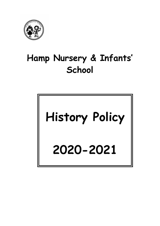

# Hamp Nursery & Infants' **School**

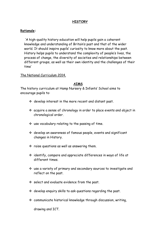### **HISTORY**

#### Rationale:

 'A high-quality history education will help pupils gain a coherent knowledge and understanding of Britain's past and that of the wider world. It should inspire pupils' curiosity to know more about the past. History helps pupils to understand the complexity of people's lives, the process of change, the diversity of societies and relationships between different groups, as well as their own identity and the challenges of their time'

#### The National Curriculum 2014.

#### AIMS

The history curriculum at Hamp Nursery & Infants' School aims to encourage pupils to:

- $\div$  develop interest in the more recent and distant past.
- acquire a sense of chronology in order to place events and object in chronological order.
- use vocabulary relating to the passing of time.
- develop an awareness of famous people, events and significant changes in History.
- $\cdot$  raise questions as well as answering them.
- $\div$  identify, compare and appreciate differences in ways of life at different times.
- use a variety of primary and secondary sources to investigate and reflect on the past.
- $\div$  select and evaluate evidence from the past.
- $\div$  develop enquiry skills to ask questions regarding the past.
- communicate historical knowledge through discussion, writing,

drawing and ICT.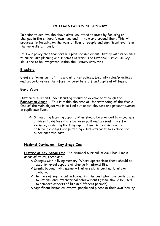## IMPLEMENTATION OF HISTORY

In order to achieve the above aims, we intend to start by focusing on changes in the children's own lives and in the world around them. This will progress to focusing on the ways of lives of people and significant events in the more distant past.

It is our policy that teachers will plan and implement History with reference to curriculum planning and schemes of work. The National Curriculum key skills are to be integrated within the History activities.

## E-safety

E-safety forms part of this and all other polices. E-safety rules/practices and procedures are therefore followed by staff and pupils at all times.

## Early Years

Historical skills and understanding should be developed through the Foundation Stage This is within the area of Understanding of the World. One of the main objectives is to find out about the past and present events in pupils own lives'.

 Stimulating learning opportunities should be provided to encourage children to differentiate between past and present times. For example, modelling the language of time, sequencing events, observing changes and providing visual artefacts to explore and experience the past.

#### National Curriculum - Key Stage One

History at Key Stage One The National Curriculum 2014 has 4 main areas of study, these are:

- Changes within living memory. Where appropriate these should be used to reveal aspects of change in national life.
- Events beyond living memory that are significant nationally or globally.
- The lives of significant individuals in the past who have contributed to national and international achievements (some should be used to compare aspects of life in different periods).
- Significant historical events, people and places in their own locality.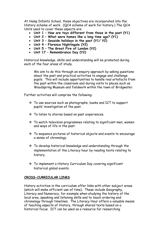At Hamp Infants School, these objectives are incorporated into the History scheme of work. (QCA scheme of work for history.) The QCA Units used to cover these aspects are:

- Unit 1 How are toys different from those in the past (Y1)
- Unit 2 What were homes like a long time ago? (Y1)
- Unit 3 Seaside holidays in the past (Y1/ Y2)
- Unit 4 Florence Nightingale (Y2)
- Unit 5 The Great Fire of London (Y2)
- Unit 17 Remembrance Day (Y2)

Historical knowledge, skills and understanding will be promoted during each of the four areas of study.

We aim to do this through an enquiry approach by asking questions about the past and practical activities to engage and challenge pupils. This will include opportunities to handle real artefacts from the past within the classroom and during visits to places such as Woodspring Museum and fieldwork within the town of Bridgwater.

Further activities will comprise the following:

- To use sources such as photographs, books and ICT to support pupils' investigation of the past.
- \* To listen to stories based on past experiences.
- To watch television programmes relating to significant men, women and ways of life in the past.
- To sequence pictures of historical objects and events to encourage a sense of chronology.
- To develop historical knowledge and understanding through the implementation of the Literacy hour by reading texts relating to history.
- To implement a History Curriculum Day covering significant historical global events.

## CROSS-CURRICULAR LINKS

History activities in the curriculum offer links with other subject areas (which will make efficient use of time). These include Geography, Literacy and Numeracy, for example when studying the history of the local area, speaking and listening skills and to teach ordering and chronology through timelines. The Literacy Hour offers a valuable means of teaching aspects of History, through shared texts based on a historical focus. ICT can be used as a resource for researching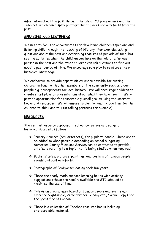information about the past through the use of CD programmes and the Internet, which can display photographs of places and artefacts from the past.

## SPEAKING AND LISTENING:

We need to focus on opportunities for developing children's speaking and listening skills through the teaching of History. For example, asking questions about the past and describing features of periods of time, hot seating activities when the children can take on the role of a famous person in the past and the other children can ask questions to find out about a past period of time. We encourage role play to reinforce their historical knowledge.

We endeavour to provide opportunities where possible for putting children in touch with other members of the community such as older people e.g. grandparents for local history. We will encourage children to create short plays or presentations about what they have learnt. We will provide opportunities for research e.g. small groups using the internet, books and resources. We will ensure to plan for and include time for the children to think and talk (in talking partners for example).

## RESOURCES

The central resource cupboard in school comprises of a range of historical sources as follows:

- Primary Sources (real artefacts), for pupils to handle. These are to be added to when possible depending on school budgeting. Somerset County Museums Service can be contacted to provide artefacts relating to a topic that is being studied when required.
- Books, stories, pictures, paintings, and posters of famous people, events and past artefacts.
- Photographs of Bridgwater dating back 100 years.
- There are ready-made outdoor learning boxes with activity suggestions (these are readily available and STC labelled to maximise the use of time.
- \* Television programmes based on famous people and events e.g. Florence Nightingale, Remembrance Sunday etc., Samuel Pepys and the great fire of London.
- There is a collection of Teacher resource books including photocopiable material.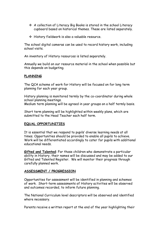- $\div$  A collection of Literacy Big Books is stored in the school Literacy cupboard based on historical themes. These are listed separately.
- History fieldwork is also a valuable resource.

The school digital cameras can be used to record history work, including school visits.

An inventory of History resources is listed separately.

Annually we build on our resource material in the school when possible but this depends on budgeting.

## PLANNING

The QCA scheme of work for History will be focused on for long term planning for each year group.

History planning is monitored termly by the co-coordinator during whole school planning meetings.

Medium term planning will be agreed in year groups on a half termly basis.

Short term planning will be highlighted within weekly plans, which are submitted to the Head Teacher each half term.

## EQUAL OPPORTUNITIES

It is essential that we respond to pupils' diverse learning needs at all times. Opportunities should be provided to enable all pupils to achieve. Work will be differentiated accordingly to cater for pupils with additional educational needs.

Gifted and Talented: For those children who demonstrate a particular ability in History, their names will be discussed and may be added to our Gifted and Talented Register. We will monitor their progress through carefully planned work.

# ASSESSMENT / PROGRESSION

Opportunities for assessment will be identified in planning and schemes of work. Short-term assessments of History activities will be observed and outcomes recorded, to inform future planning.

 The National Curriculum level descriptors will be observed and identified where necessary.

Parents receive a written report at the end of the year highlighting their